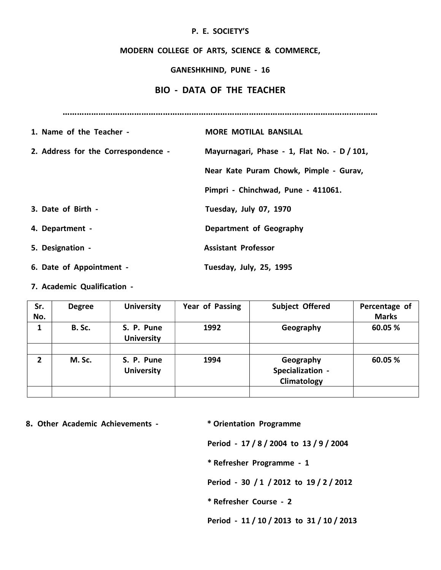## P. E. SOCIETY'S

## MODERN COLLEGE OF ARTS, SCIENCE & COMMERCE,

## GANESHKHIND, PUNE - 16

## BIO - DATA OF THE TEACHER

……………………………………………………………………………………………………………………

| 1. Name of the Teacher -            | <b>MORE MOTILAL BANSILAL</b>                |
|-------------------------------------|---------------------------------------------|
| 2. Address for the Correspondence - | Mayurnagari, Phase - 1, Flat No. - D / 101, |
|                                     | Near Kate Puram Chowk, Pimple - Gurav,      |
|                                     | Pimpri - Chinchwad, Pune - 411061.          |
| 3. Date of Birth -                  | Tuesday, July 07, 1970                      |
| 4. Department -                     | Department of Geography                     |
| 5. Designation -                    | <b>Assistant Professor</b>                  |
| 6. Date of Appointment -            | Tuesday, July, 25, 1995                     |

7. Academic Qualification -

| Sr.<br>No. | <b>Degree</b> | <b>University</b>               | Year of Passing | <b>Subject Offered</b>                       | Percentage of<br><b>Marks</b> |
|------------|---------------|---------------------------------|-----------------|----------------------------------------------|-------------------------------|
| 1          | <b>B.</b> Sc. | S. P. Pune<br><b>University</b> | 1992            | Geography                                    | 60.05 %                       |
|            |               |                                 |                 |                                              |                               |
| 2          | M. Sc.        | S. P. Pune<br><b>University</b> | 1994            | Geography<br>Specialization -<br>Climatology | 60.05 %                       |
|            |               |                                 |                 |                                              |                               |

8. Other Academic Achievements - \* \* Orientation Programme

Period - 17 / 8 / 2004 to 13 / 9 / 2004

\* Refresher Programme - 1

Period - 30 / 1 / 2012 to 19 / 2 / 2012

\* Refresher Course - 2

Period - 11 / 10 / 2013 to 31 / 10 / 2013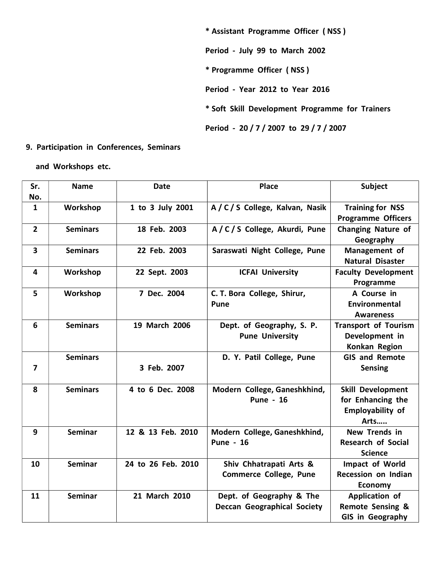\* Assistant Programme Officer ( NSS ) Period - July 99 to March 2002 \* Programme Officer ( NSS ) Period - Year 2012 to Year 2016 \* Soft Skill Development Programme for Trainers Period - 20 / 7 / 2007 to 29 / 7 / 2007

9. Participation in Conferences, Seminars

and Workshops etc.

| Sr.<br>No.              | <b>Name</b>     | <b>Date</b>        | <b>Place</b>                                                   | Subject                                                                          |
|-------------------------|-----------------|--------------------|----------------------------------------------------------------|----------------------------------------------------------------------------------|
| $\mathbf{1}$            | Workshop        | 1 to 3 July 2001   | A / C / S College, Kalvan, Nasik                               | <b>Training for NSS</b><br><b>Programme Officers</b>                             |
| $\overline{2}$          | <b>Seminars</b> | 18 Feb. 2003       | A/C/S College, Akurdi, Pune                                    | <b>Changing Nature of</b><br>Geography                                           |
| $\overline{\mathbf{3}}$ | <b>Seminars</b> | 22 Feb. 2003       | Saraswati Night College, Pune                                  | Management of<br><b>Natural Disaster</b>                                         |
| 4                       | Workshop        | 22 Sept. 2003      | <b>ICFAI University</b>                                        | <b>Faculty Development</b><br>Programme                                          |
| 5                       | Workshop        | 7 Dec. 2004        | C. T. Bora College, Shirur,<br><b>Pune</b>                     | A Course in<br>Environmental<br><b>Awareness</b>                                 |
| 6                       | <b>Seminars</b> | 19 March 2006      | Dept. of Geography, S. P.<br><b>Pune University</b>            | <b>Transport of Tourism</b><br>Development in<br>Konkan Region                   |
| $\overline{\mathbf{z}}$ | <b>Seminars</b> | 3 Feb. 2007        | D. Y. Patil College, Pune                                      | <b>GIS and Remote</b><br><b>Sensing</b>                                          |
| 8                       | <b>Seminars</b> | 4 to 6 Dec. 2008   | Modern College, Ganeshkhind,<br><b>Pune - 16</b>               | <b>Skill Development</b><br>for Enhancing the<br><b>Employability of</b><br>Arts |
| $\mathbf{9}$            | <b>Seminar</b>  | 12 & 13 Feb. 2010  | Modern College, Ganeshkhind,<br><b>Pune - 16</b>               | <b>New Trends in</b><br><b>Research of Social</b><br><b>Science</b>              |
| 10                      | <b>Seminar</b>  | 24 to 26 Feb. 2010 | Shiv Chhatrapati Arts &<br><b>Commerce College, Pune</b>       | Impact of World<br>Recession on Indian<br><b>Economy</b>                         |
| 11                      | <b>Seminar</b>  | 21 March 2010      | Dept. of Geography & The<br><b>Deccan Geographical Society</b> | Application of<br><b>Remote Sensing &amp;</b><br>GIS in Geography                |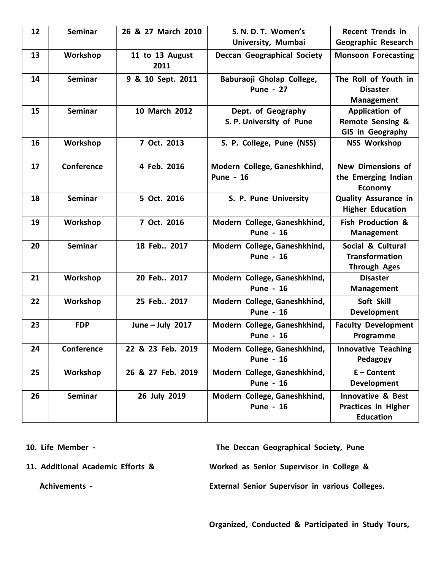| 12 | <b>Seminar</b> | 26 & 27 March 2010      | S. N. D. T. Women's                              | <b>Recent Trends in</b>                                                        |
|----|----------------|-------------------------|--------------------------------------------------|--------------------------------------------------------------------------------|
|    |                |                         | University, Mumbai                               | Geographic Research                                                            |
| 13 | Workshop       | 11 to 13 August<br>2011 | <b>Deccan Geographical Society</b>               | <b>Monsoon Forecasting</b>                                                     |
| 14 | <b>Seminar</b> | 9 & 10 Sept. 2011       | Baburaoji Gholap College,<br><b>Pune - 27</b>    | The Roll of Youth in<br><b>Disaster</b><br><b>Management</b>                   |
| 15 | <b>Seminar</b> | 10 March 2012           | Dept. of Geography<br>S. P. University of Pune   | Application of<br><b>Remote Sensing &amp;</b><br>GIS in Geography              |
| 16 | Workshop       | 7 Oct. 2013             | S. P. College, Pune (NSS)                        | <b>NSS Workshop</b>                                                            |
| 17 | Conference     | 4 Feb. 2016             | Modern College, Ganeshkhind,<br><b>Pune - 16</b> | <b>New Dimensions of</b><br>the Emerging Indian<br><b>Economy</b>              |
| 18 | <b>Seminar</b> | 5 Oct. 2016             | S. P. Pune University                            | <b>Quality Assurance in</b><br><b>Higher Education</b>                         |
| 19 | Workshop       | 7 Oct. 2016             | Modern College, Ganeshkhind,<br><b>Pune - 16</b> | <b>Fish Production &amp;</b><br><b>Management</b>                              |
| 20 | <b>Seminar</b> | 18 Feb., 2017           | Modern College, Ganeshkhind,<br><b>Pune - 16</b> | Social & Cultural<br><b>Transformation</b><br><b>Through Ages</b>              |
| 21 | Workshop       | 20 Feb., 2017           | Modern College, Ganeshkhind,<br><b>Pune - 16</b> | <b>Disaster</b><br><b>Management</b>                                           |
| 22 | Workshop       | 25 Feb., 2017           | Modern College, Ganeshkhind,<br><b>Pune - 16</b> | Soft Skill<br>Development                                                      |
| 23 | <b>FDP</b>     | June - July 2017        | Modern College, Ganeshkhind,<br><b>Pune - 16</b> | <b>Faculty Development</b><br>Programme                                        |
| 24 | Conference     | 22 & 23 Feb. 2019       | Modern College, Ganeshkhind,<br><b>Pune - 16</b> | <b>Innovative Teaching</b><br>Pedagogy                                         |
| 25 | Workshop       | 26 & 27 Feb. 2019       | Modern College, Ganeshkhind,<br><b>Pune - 16</b> | $E$ – Content<br><b>Development</b>                                            |
| 26 | <b>Seminar</b> | 26 July 2019            | Modern College, Ganeshkhind,<br><b>Pune - 16</b> | <b>Innovative &amp; Best</b><br><b>Practices in Higher</b><br><b>Education</b> |

10. Life Member - The Deccan Geographical Society, Pune 11. Additional Academic Efforts & Worked as Senior Supervisor in College & Achivements - The Colleges Colleges and Texternal Senior Supervisor in various Colleges.

Organized, Conducted & Participated in Study Tours,